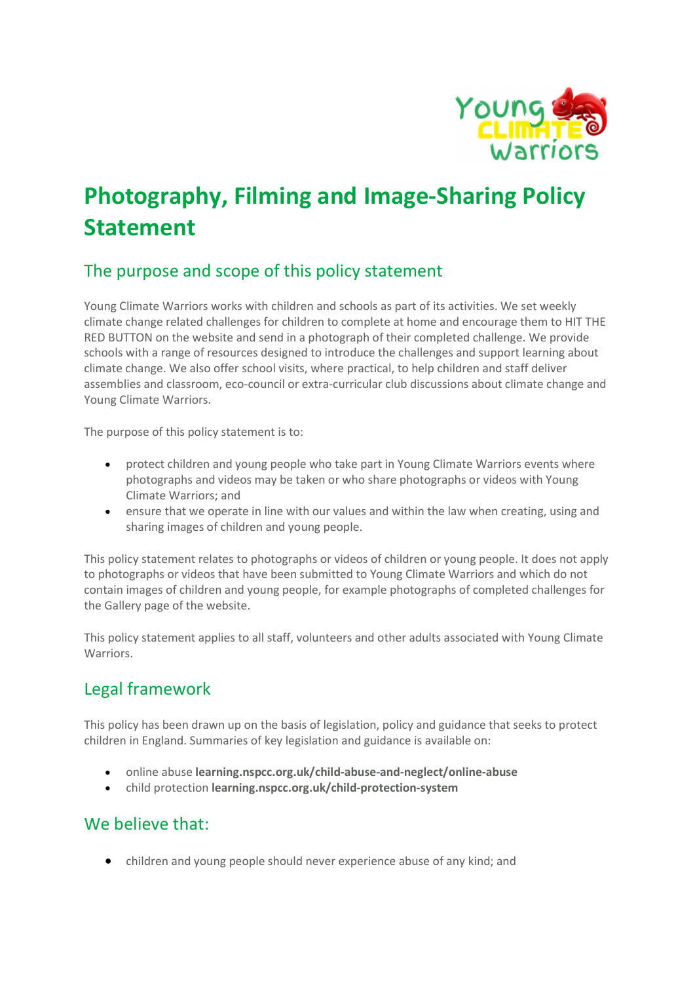

# Photography, Filming and Image-Sharing Policy Statement

# The purpose and scope of this policy statement

Young Climate Warriors works with children and schools as part of its activities. We set weekly climate change related challenges for children to complete at home and encourage them to HIT THE RED BUTTON on the website and send in a photograph of their completed challenge. We provide schools with a range of resources designed to introduce the challenges and support learning about climate change. We also offer school visits, where practical, to help children and staff deliver assemblies and classroom, eco-council or extra-curricular club discussions about climate change and Young Climate Warriors.

The purpose of this policy statement is to:

- protect children and young people who take part in Young Climate Warriors events where photographs and videos may be taken or who share photographs or videos with Young Climate Warriors; and
- ensure that we operate in line with our values and within the law when creating, using and sharing images of children and young people.

This policy statement relates to photographs or videos of children or young people. It does not apply to photographs or videos that have been submitted to Young Climate Warriors and which do not contain images of children and young people, for example photographs of completed challenges for the Gallery page of the website.

This policy statement applies to all staff, volunteers and other adults associated with Young Climate **Warriors** 

## Legal framework

This policy has been drawn up on the basis of legislation, policy and guidance that seeks to protect children in England. Summaries of key legislation and guidance is available on:

- online abuse learning.nspcc.org.uk/child-abuse-and-neglect/online-abuse
- child protection learning.nspcc.org.uk/child-protection-system

#### We believe that:

children and young people should never experience abuse of any kind; and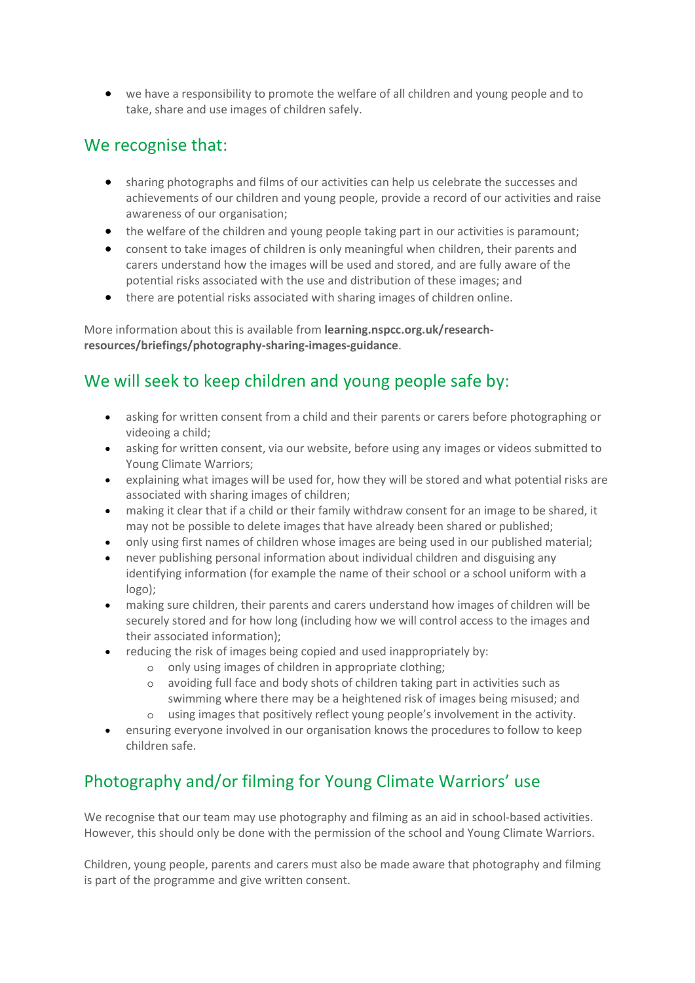we have a responsibility to promote the welfare of all children and young people and to take, share and use images of children safely.

#### We recognise that:

- sharing photographs and films of our activities can help us celebrate the successes and achievements of our children and young people, provide a record of our activities and raise awareness of our organisation;
- the welfare of the children and young people taking part in our activities is paramount;
- consent to take images of children is only meaningful when children, their parents and carers understand how the images will be used and stored, and are fully aware of the potential risks associated with the use and distribution of these images; and
- there are potential risks associated with sharing images of children online.

More information about this is available from learning.nspcc.org.uk/researchresources/briefings/photography-sharing-images-guidance.

# We will seek to keep children and young people safe by:

- asking for written consent from a child and their parents or carers before photographing or videoing a child;
- asking for written consent, via our website, before using any images or videos submitted to Young Climate Warriors;
- explaining what images will be used for, how they will be stored and what potential risks are associated with sharing images of children;
- making it clear that if a child or their family withdraw consent for an image to be shared, it may not be possible to delete images that have already been shared or published;
- only using first names of children whose images are being used in our published material;
- never publishing personal information about individual children and disguising any identifying information (for example the name of their school or a school uniform with a logo);
- making sure children, their parents and carers understand how images of children will be securely stored and for how long (including how we will control access to the images and their associated information);
- reducing the risk of images being copied and used inappropriately by:
	- o only using images of children in appropriate clothing;
	- o avoiding full face and body shots of children taking part in activities such as swimming where there may be a heightened risk of images being misused; and
	- o using images that positively reflect young people's involvement in the activity.
- ensuring everyone involved in our organisation knows the procedures to follow to keep children safe.

# Photography and/or filming for Young Climate Warriors' use

We recognise that our team may use photography and filming as an aid in school-based activities. However, this should only be done with the permission of the school and Young Climate Warriors.

Children, young people, parents and carers must also be made aware that photography and filming is part of the programme and give written consent.